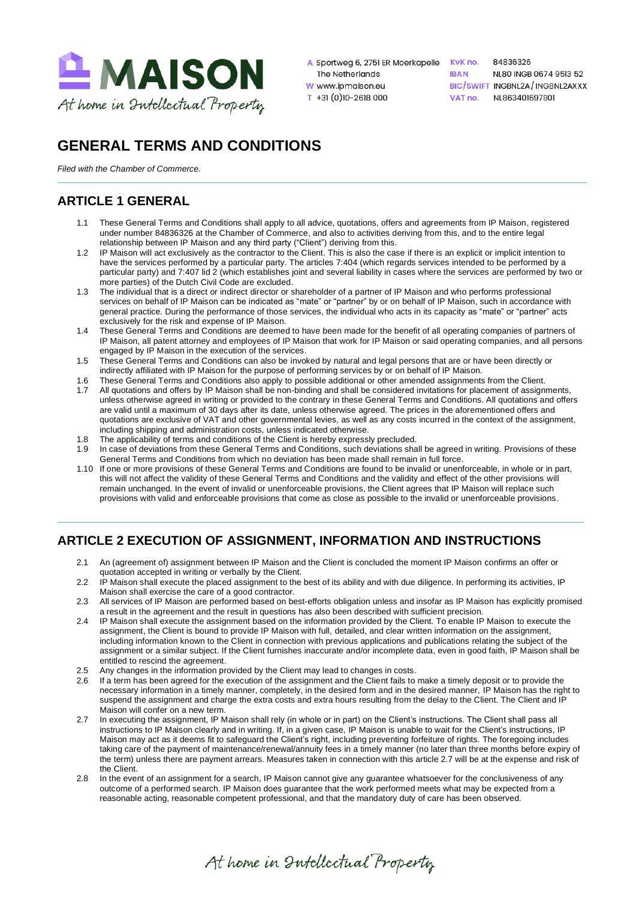

- A Sportweg 6, 2751 ER Moerkapelle KvK no. The Netherlands W www.ipmaison.eu
- $T + 31(0)10 2618000$

84836326 **IRAN** NL80 INGB 0674 9513 52 BIC/SWIFT INGBNL2A/INGBNL2AXXX VAT no. NI 863401697801

# **GENERAL TERMS AND CONDITIONS**

*Filed with the Chamber of Commerce.*

# **ARTICLE 1 GENERAL**

- 1.1 These General Terms and Conditions shall apply to all advice, quotations, offers and agreements from IP Maison, registered under number 84836326 at the Chamber of Commerce, and also to activities deriving from this, and to the entire legal relationship between IP Maison and any third party ("Client") deriving from this.
- 1.2 IP Maison will act exclusively as the contractor to the Client. This is also the case if there is an explicit or implicit intention to have the services performed by a particular party. The articles 7:404 (which regards services intended to be performed by a particular party) and 7:407 lid 2 (which establishes joint and several liability in cases where the services are performed by two or more parties) of the Dutch Civil Code are excluded.
- 1.3 The individual that is a direct or indirect director or shareholder of a partner of IP Maison and who performs professional services on behalf of IP Maison can be indicated as "mate" or "partner" by or on behalf of IP Maison, such in accordance with general practice. During the performance of those services, the individual who acts in its capacity as "mate" or "partner" acts exclusively for the risk and expense of IP Maison.
- 1.4 These General Terms and Conditions are deemed to have been made for the benefit of all operating companies of partners of IP Maison, all patent attorney and employees of IP Maison that work for IP Maison or said operating companies, and all persons engaged by IP Maison in the execution of the services.
- 1.5 These General Terms and Conditions can also be invoked by natural and legal persons that are or have been directly or indirectly affiliated with IP Maison for the purpose of performing services by or on behalf of IP Maison.
- 
- 1.6 These General Terms and Conditions also apply to possible additional or other amended assignments from the Client.<br>1.7 All quotations and offers by IP Maison shall be non-binding and shall be considered invitations for All quotations and offers by IP Maison shall be non-binding and shall be considered invitations for placement of assignments, unless otherwise agreed in writing or provided to the contrary in these General Terms and Conditions. All quotations and offers are valid until a maximum of 30 days after its date, unless otherwise agreed. The prices in the aforementioned offers and quotations are exclusive of VAT and other governmental levies, as well as any costs incurred in the context of the assignment, including shipping and administration costs, unless indicated otherwise.
- 1.8 The applicability of terms and conditions of the Client is hereby expressly precluded.
- 1.9 In case of deviations from these General Terms and Conditions, such deviations shall be agreed in writing. Provisions of these General Terms and Conditions from which no deviation has been made shall remain in full force.
- 1.10 If one or more provisions of these General Terms and Conditions are found to be invalid or unenforceable, in whole or in part, this will not affect the validity of these General Terms and Conditions and the validity and effect of the other provisions will remain unchanged. In the event of invalid or unenforceable provisions, the Client agrees that IP Maison will replace such provisions with valid and enforceable provisions that come as close as possible to the invalid or unenforceable provisions.

# **ARTICLE 2 EXECUTION OF ASSIGNMENT, INFORMATION AND INSTRUCTIONS**

- 2.1 An (agreement of) assignment between IP Maison and the Client is concluded the moment IP Maison confirms an offer or quotation accepted in writing or verbally by the Client.
- 2.2 IP Maison shall execute the placed assignment to the best of its ability and with due diligence. In performing its activities, IP Maison shall exercise the care of a good contractor.
- 2.3 All services of IP Maison are performed based on best-efforts obligation unless and insofar as IP Maison has explicitly promised a result in the agreement and the result in questions has also been described with sufficient precision.
- 2.4 IP Maison shall execute the assignment based on the information provided by the Client. To enable IP Maison to execute the assignment, the Client is bound to provide IP Maison with full, detailed, and clear written information on the assignment, including information known to the Client in connection with previous applications and publications relating the subject of the assignment or a similar subject. If the Client furnishes inaccurate and/or incomplete data, even in good faith, IP Maison shall be entitled to rescind the agreement.
- 2.5 Any changes in the information provided by the Client may lead to changes in costs.
- 2.6 If a term has been agreed for the execution of the assignment and the Client fails to make a timely deposit or to provide the necessary information in a timely manner, completely, in the desired form and in the desired manner, IP Maison has the right to suspend the assignment and charge the extra costs and extra hours resulting from the delay to the Client. The Client and IP Maison will confer on a new term.
- 2.7 In executing the assignment, IP Maison shall rely (in whole or in part) on the Client's instructions. The Client shall pass all instructions to IP Maison clearly and in writing. If, in a given case, IP Maison is unable to wait for the Client's instructions, IP Maison may act as it deems fit to safeguard the Client's right, including preventing forfeiture of rights. The foregoing includes taking care of the payment of maintenance/renewal/annuity fees in a timely manner (no later than three months before expiry of the term) unless there are payment arrears. Measures taken in connection with this article 2.7 will be at the expense and risk of the Client.
- 2.8 In the event of an assignment for a search, IP Maison cannot give any guarantee whatsoever for the conclusiveness of any outcome of a performed search. IP Maison does guarantee that the work performed meets what may be expected from a reasonable acting, reasonable competent professional, and that the mandatory duty of care has been observed.

At home in Intellectual Property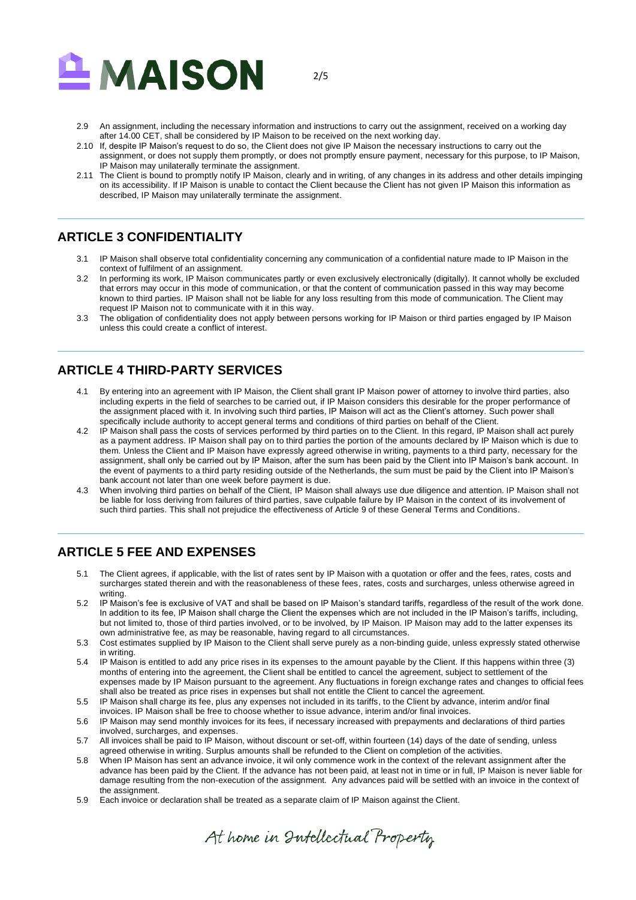

2/5

- 2.9 An assignment, including the necessary information and instructions to carry out the assignment, received on a working day after 14.00 CET, shall be considered by IP Maison to be received on the next working day.
- 2.10 If, despite IP Maison's request to do so, the Client does not give IP Maison the necessary instructions to carry out the assignment, or does not supply them promptly, or does not promptly ensure payment, necessary for this purpose, to IP Maison, IP Maison may unilaterally terminate the assignment.
- 2.11 The Client is bound to promptly notify IP Maison, clearly and in writing, of any changes in its address and other details impinging on its accessibility. If IP Maison is unable to contact the Client because the Client has not given IP Maison this information as described, IP Maison may unilaterally terminate the assignment.

### **ARTICLE 3 CONFIDENTIALITY**

- 3.1 IP Maison shall observe total confidentiality concerning any communication of a confidential nature made to IP Maison in the context of fulfilment of an assignment.
- 3.2 In performing its work, IP Maison communicates partly or even exclusively electronically (digitally). It cannot wholly be excluded that errors may occur in this mode of communication, or that the content of communication passed in this way may become known to third parties. IP Maison shall not be liable for any loss resulting from this mode of communication. The Client may request IP Maison not to communicate with it in this way.
- 3.3 The obligation of confidentiality does not apply between persons working for IP Maison or third parties engaged by IP Maison unless this could create a conflict of interest.

# **ARTICLE 4 THIRD-PARTY SERVICES**

- 4.1 By entering into an agreement with IP Maison, the Client shall grant IP Maison power of attorney to involve third parties, also including experts in the field of searches to be carried out, if IP Maison considers this desirable for the proper performance of the assignment placed with it. In involving such third parties, IP Maison will act as the Client's attorney. Such power shall specifically include authority to accept general terms and conditions of third parties on behalf of the Client.
- 4.2 IP Maison shall pass the costs of services performed by third parties on to the Client. In this regard, IP Maison shall act purely as a payment address. IP Maison shall pay on to third parties the portion of the amounts declared by IP Maison which is due to them. Unless the Client and IP Maison have expressly agreed otherwise in writing, payments to a third party, necessary for the assignment, shall only be carried out by IP Maison, after the sum has been paid by the Client into IP Maison's bank account. In the event of payments to a third party residing outside of the Netherlands, the sum must be paid by the Client into IP Maison's bank account not later than one week before payment is due.
- 4.3 When involving third parties on behalf of the Client, IP Maison shall always use due diligence and attention. IP Maison shall not be liable for loss deriving from failures of third parties, save culpable failure by IP Maison in the context of its involvement of such third parties. This shall not prejudice the effectiveness of Article 9 of these General Terms and Conditions.

# **ARTICLE 5 FEE AND EXPENSES**

- 5.1 The Client agrees, if applicable, with the list of rates sent by IP Maison with a quotation or offer and the fees, rates, costs and surcharges stated therein and with the reasonableness of these fees, rates, costs and surcharges, unless otherwise agreed in writing.
- 5.2 IP Maison's fee is exclusive of VAT and shall be based on IP Maison's standard tariffs, regardless of the result of the work done. In addition to its fee, IP Maison shall charge the Client the expenses which are not included in the IP Maison's tariffs, including, but not limited to, those of third parties involved, or to be involved, by IP Maison. IP Maison may add to the latter expenses its own administrative fee, as may be reasonable, having regard to all circumstances.
- 5.3 Cost estimates supplied by IP Maison to the Client shall serve purely as a non-binding guide, unless expressly stated otherwise in writing.
- 5.4 IP Maison is entitled to add any price rises in its expenses to the amount payable by the Client. If this happens within three (3) months of entering into the agreement, the Client shall be entitled to cancel the agreement, subject to settlement of the expenses made by IP Maison pursuant to the agreement. Any fluctuations in foreign exchange rates and changes to official fees shall also be treated as price rises in expenses but shall not entitle the Client to cancel the agreement.
- 5.5 IP Maison shall charge its fee, plus any expenses not included in its tariffs, to the Client by advance, interim and/or final invoices. IP Maison shall be free to choose whether to issue advance, interim and/or final invoices.
- 5.6 IP Maison may send monthly invoices for its fees, if necessary increased with prepayments and declarations of third parties involved, surcharges, and expenses.
- 5.7 All invoices shall be paid to IP Maison, without discount or set-off, within fourteen (14) days of the date of sending, unless agreed otherwise in writing. Surplus amounts shall be refunded to the Client on completion of the activities.
- 5.8 When IP Maison has sent an advance invoice, it wil only commence work in the context of the relevant assignment after the advance has been paid by the Client. If the advance has not been paid, at least not in time or in full, IP Maison is never liable for damage resulting from the non-execution of the assignment. Any advances paid will be settled with an invoice in the context of the assignment.
- 5.9 Each invoice or declaration shall be treated as a separate claim of IP Maison against the Client.

At home in Intellectual Property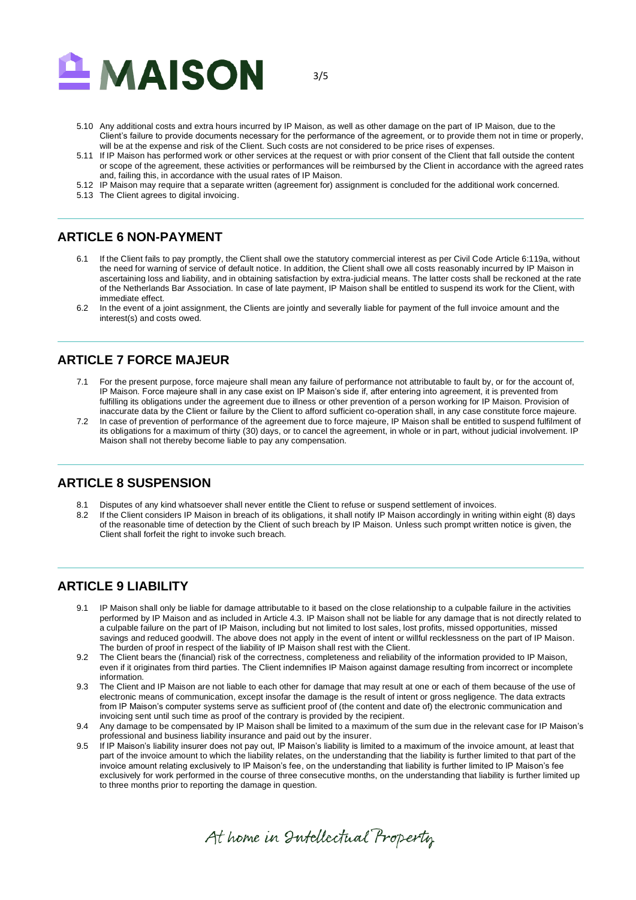

3/5

- 5.10 Any additional costs and extra hours incurred by IP Maison, as well as other damage on the part of IP Maison, due to the Client's failure to provide documents necessary for the performance of the agreement, or to provide them not in time or properly, will be at the expense and risk of the Client. Such costs are not considered to be price rises of expenses.
- 5.11 If IP Maison has performed work or other services at the request or with prior consent of the Client that fall outside the content or scope of the agreement, these activities or performances will be reimbursed by the Client in accordance with the agreed rates and, failing this, in accordance with the usual rates of IP Maison.
- 5.12 IP Maison may require that a separate written (agreement for) assignment is concluded for the additional work concerned.
- 5.13 The Client agrees to digital invoicing.

#### **ARTICLE 6 NON-PAYMENT**

- 6.1 If the Client fails to pay promptly, the Client shall owe the statutory commercial interest as per Civil Code Article 6:119a, without the need for warning of service of default notice. In addition, the Client shall owe all costs reasonably incurred by IP Maison in ascertaining loss and liability, and in obtaining satisfaction by extra-judicial means. The latter costs shall be reckoned at the rate of the Netherlands Bar Association. In case of late payment, IP Maison shall be entitled to suspend its work for the Client, with immediate effect.
- 6.2 In the event of a joint assignment, the Clients are jointly and severally liable for payment of the full invoice amount and the interest(s) and costs owed.

#### **ARTICLE 7 FORCE MAJEUR**

- 7.1 For the present purpose, force majeure shall mean any failure of performance not attributable to fault by, or for the account of, IP Maison. Force majeure shall in any case exist on IP Maison's side if, after entering into agreement, it is prevented from fulfilling its obligations under the agreement due to illness or other prevention of a person working for IP Maison. Provision of inaccurate data by the Client or failure by the Client to afford sufficient co-operation shall, in any case constitute force majeure.
- 7.2 In case of prevention of performance of the agreement due to force majeure, IP Maison shall be entitled to suspend fulfilment of its obligations for a maximum of thirty (30) days, or to cancel the agreement, in whole or in part, without judicial involvement. IP Maison shall not thereby become liable to pay any compensation.

#### **ARTICLE 8 SUSPENSION**

- 8.1 Disputes of any kind whatsoever shall never entitle the Client to refuse or suspend settlement of invoices.
- 8.2 If the Client considers IP Maison in breach of its obligations, it shall notify IP Maison accordingly in writing within eight (8) days of the reasonable time of detection by the Client of such breach by IP Maison. Unless such prompt written notice is given, the Client shall forfeit the right to invoke such breach.

#### **ARTICLE 9 LIABILITY**

- 9.1 IP Maison shall only be liable for damage attributable to it based on the close relationship to a culpable failure in the activities performed by IP Maison and as included in Article 4.3. IP Maison shall not be liable for any damage that is not directly related to a culpable failure on the part of IP Maison, including but not limited to lost sales, lost profits, missed opportunities, missed savings and reduced goodwill. The above does not apply in the event of intent or willful recklessness on the part of IP Maison. The burden of proof in respect of the liability of IP Maison shall rest with the Client.
- 9.2 The Client bears the (financial) risk of the correctness, completeness and reliability of the information provided to IP Maison, even if it originates from third parties. The Client indemnifies IP Maison against damage resulting from incorrect or incomplete information.
- 9.3 The Client and IP Maison are not liable to each other for damage that may result at one or each of them because of the use of electronic means of communication, except insofar the damage is the result of intent or gross negligence. The data extracts from IP Maison's computer systems serve as sufficient proof of (the content and date of) the electronic communication and invoicing sent until such time as proof of the contrary is provided by the recipient.
- 9.4 Any damage to be compensated by IP Maison shall be limited to a maximum of the sum due in the relevant case for IP Maison's professional and business liability insurance and paid out by the insurer.
- 9.5 If IP Maison's liability insurer does not pay out, IP Maison's liability is limited to a maximum of the invoice amount, at least that part of the invoice amount to which the liability relates, on the understanding that the liability is further limited to that part of the invoice amount relating exclusively to IP Maison's fee, on the understanding that liability is further limited to IP Maison's fee exclusively for work performed in the course of three consecutive months, on the understanding that liability is further limited up to three months prior to reporting the damage in question.

At home in Intellectual Property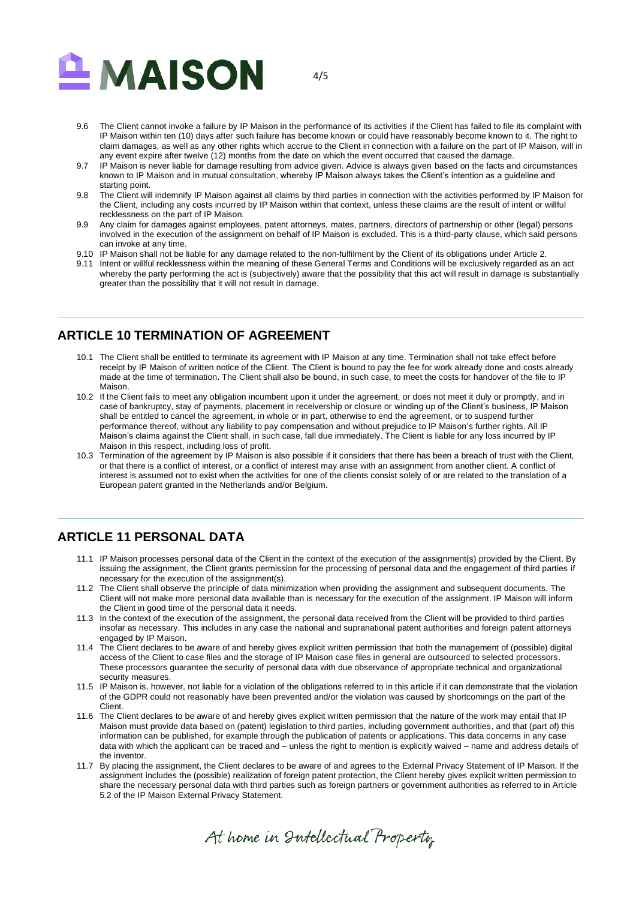

9.6 The Client cannot invoke a failure by IP Maison in the performance of its activities if the Client has failed to file its complaint with IP Maison within ten (10) days after such failure has become known or could have reasonably become known to it. The right to claim damages, as well as any other rights which accrue to the Client in connection with a failure on the part of IP Maison, will in any event expire after twelve (12) months from the date on which the event occurred that caused the damage.

4/5

- 9.7 IP Maison is never liable for damage resulting from advice given. Advice is always given based on the facts and circumstances known to IP Maison and in mutual consultation, whereby IP Maison always takes the Client's intention as a guideline and starting point.
- 9.8 The Client will indemnify IP Maison against all claims by third parties in connection with the activities performed by IP Maison for the Client, including any costs incurred by IP Maison within that context, unless these claims are the result of intent or willful recklessness on the part of IP Maison.
- 9.9 Any claim for damages against employees, patent attorneys, mates, partners, directors of partnership or other (legal) persons involved in the execution of the assignment on behalf of IP Maison is excluded. This is a third-party clause, which said persons can invoke at any time.
- 9.10 IP Maison shall not be liable for any damage related to the non-fulfilment by the Client of its obligations under Article 2.
- 9.11 Intent or willful recklessness within the meaning of these General Terms and Conditions will be exclusively regarded as an act whereby the party performing the act is (subjectively) aware that the possibility that this act will result in damage is substantially greater than the possibility that it will not result in damage.

### **ARTICLE 10 TERMINATION OF AGREEMENT**

- 10.1 The Client shall be entitled to terminate its agreement with IP Maison at any time. Termination shall not take effect before receipt by IP Maison of written notice of the Client. The Client is bound to pay the fee for work already done and costs already made at the time of termination. The Client shall also be bound, in such case, to meet the costs for handover of the file to IP **Maison**
- 10.2 If the Client fails to meet any obligation incumbent upon it under the agreement, or does not meet it duly or promptly, and in case of bankruptcy, stay of payments, placement in receivership or closure or winding up of the Client's business, IP Maison shall be entitled to cancel the agreement, in whole or in part, otherwise to end the agreement, or to suspend further performance thereof, without any liability to pay compensation and without prejudice to IP Maison's further rights. All IP Maison's claims against the Client shall, in such case, fall due immediately. The Client is liable for any loss incurred by IP Maison in this respect, including loss of profit.
- 10.3 Termination of the agreement by IP Maison is also possible if it considers that there has been a breach of trust with the Client, or that there is a conflict of interest, or a conflict of interest may arise with an assignment from another client. A conflict of interest is assumed not to exist when the activities for one of the clients consist solely of or are related to the translation of a European patent granted in the Netherlands and/or Belgium.

# **ARTICLE 11 PERSONAL DATA**

- 11.1 IP Maison processes personal data of the Client in the context of the execution of the assignment(s) provided by the Client. By issuing the assignment, the Client grants permission for the processing of personal data and the engagement of third parties if necessary for the execution of the assignment(s).
- 11.2 The Client shall observe the principle of data minimization when providing the assignment and subsequent documents. The Client will not make more personal data available than is necessary for the execution of the assignment. IP Maison will inform the Client in good time of the personal data it needs.
- 11.3 In the context of the execution of the assignment, the personal data received from the Client will be provided to third parties insofar as necessary. This includes in any case the national and supranational patent authorities and foreign patent attorneys engaged by IP Maison.
- 11.4 The Client declares to be aware of and hereby gives explicit written permission that both the management of (possible) digital access of the Client to case files and the storage of IP Maison case files in general are outsourced to selected processors. These processors guarantee the security of personal data with due observance of appropriate technical and organizational security measures.
- 11.5 IP Maison is, however, not liable for a violation of the obligations referred to in this article if it can demonstrate that the violation of the GDPR could not reasonably have been prevented and/or the violation was caused by shortcomings on the part of the Client.
- 11.6 The Client declares to be aware of and hereby gives explicit written permission that the nature of the work may entail that IP Maison must provide data based on (patent) legislation to third parties, including government authorities, and that (part of) this information can be published, for example through the publication of patents or applications. This data concerns in any case data with which the applicant can be traced and – unless the right to mention is explicitly waived – name and address details of the inventor.
- 11.7 By placing the assignment, the Client declares to be aware of and agrees to the External Privacy Statement of IP Maison. If the assignment includes the (possible) realization of foreign patent protection, the Client hereby gives explicit written permission to share the necessary personal data with third parties such as foreign partners or government authorities as referred to in Article 5.2 of the IP Maison External Privacy Statement.

At home in Intellectual Property